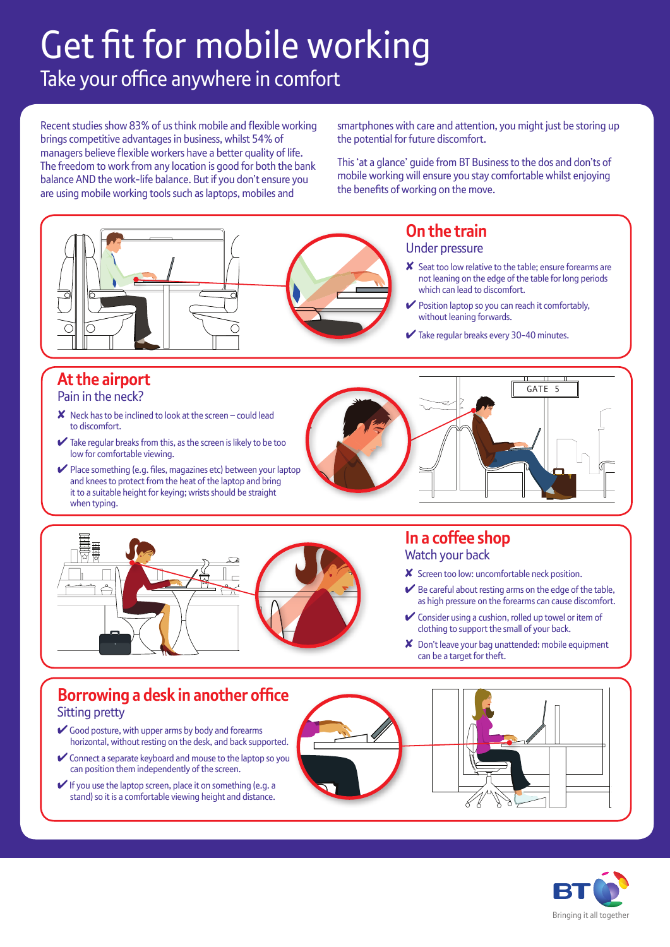# Take your office anywhere in comfort Get fit for mobile working

Recent studies show 83% of us think mobile and flexible working brings competitive advantages in business, whilst 54% of managers believe flexible workers have a better quality of life. The freedom to work from any location is good for both the bank balance AND the work-life balance. But if you don't ensure you are using mobile working tools such as laptops, mobiles and

smartphones with care and attention, you might just be storing up the potential for future discomfort.

This 'at a glance' guide from BT Business to the dos and don'ts of mobile working will ensure you stay comfortable whilst enjoying the benefits of working on the move.





#### **In a coffee shop**  Watch your back

- ✘ Screen too low: uncomfortable neck position.
- $\blacktriangleright$  Be careful about resting arms on the edge of the table, as high pressure on the forearms can cause discomfort.
- ✔ Consider using a cushion, rolled up towel or item of clothing to support the small of your back.
- ✘ Don't leave your bag unattended: mobile equipment can be a target for theft.

### **Borrowing a desk in another office** Sitting pretty

- Good posture, with upper arms by body and forearms horizontal, without resting on the desk, and back supported.
- ✔Connect a separate keyboard and mouse to the laptop so you can position them independently of the screen.
- $\blacktriangleright$  If you use the laptop screen, place it on something (e.g. a stand) so it is a comfortable viewing height and distance.